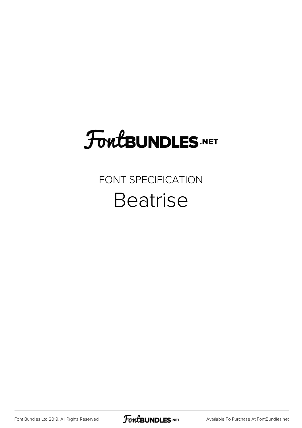## **FoutBUNDLES.NET**

## FONT SPECIFICATION Beatrise

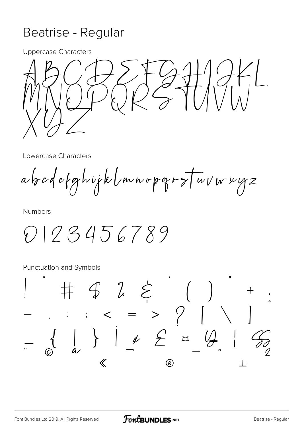## Beatrise - Regular

**Uppercase Characters** 



Lowercase Characters

abodefghijklmnopgrstuvwyz

**Numbers** 

0123456789

**Punctuation and Symbols** 

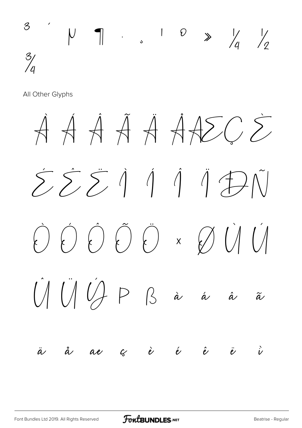

All Other Glyphs

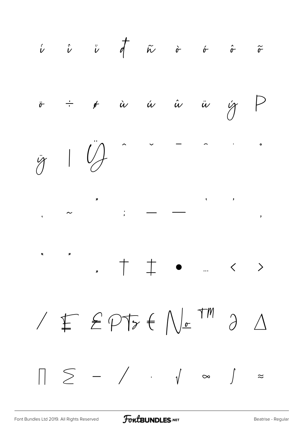